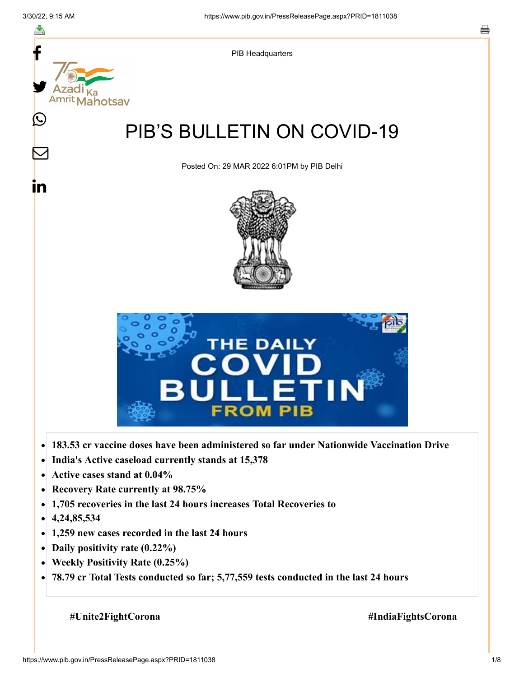

- **Active cases stand at 0.04%**  $\bullet$
- **Recovery Rate currently at 98.75%**  $\bullet$
- **1,705 recoveries in the last 24 hours increases Total Recoveries to**  $\bullet$
- **4,24,85,534**  $\bullet$
- **1,259 new cases recorded in the last 24 hours**  $\bullet$
- **Daily positivity rate (0.22%)**
- **Weekly Positivity Rate (0.25%)**  $\bullet$
- **78.79 cr Total Tests conducted so far; 5,77,559 tests conducted in the last 24 hours**  $\bullet$

**#Unite2FightCorona #IndiaFightsCorona**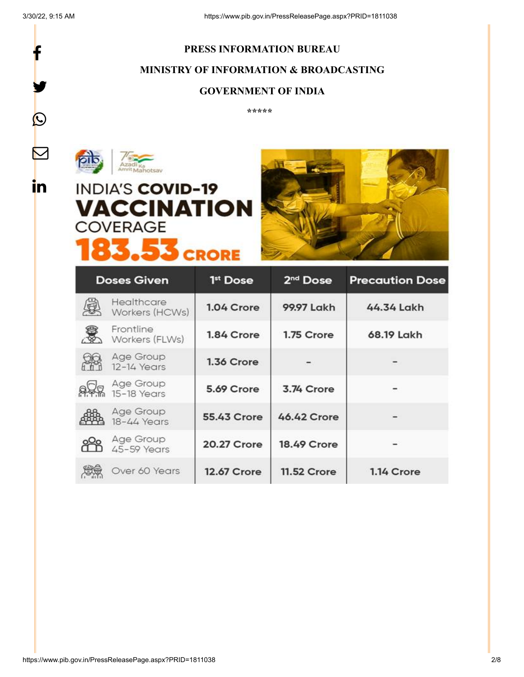f

y.

 $\boldsymbol{Q}$ 

 $\triangleright$ 

in.

## **PRESS INFORMATION BUREAU MINISTRY OF INFORMATION & BROADCASTING GOVERNMENT OF INDIA**

**\*\*\*\*\*** 



# **INDIA'S COVID-19 VACCINATION COVERAGE 83.53 CRORE**



| <b>Doses Given</b> |                              | 1 <sup>st</sup> Dose | 2 <sup>nd</sup> Dose | <b>Precaution Dose</b> |
|--------------------|------------------------------|----------------------|----------------------|------------------------|
|                    | Healthcare<br>Workers (HCWs) | 1.04 Crore           | 99.97 Lakh           | 44.34 Lakh             |
|                    | Frontline<br>Workers (FLWs)  | 1.84 Crore           | 1.75 Crore           | 68.19 Lakh             |
|                    | Age Group<br>12-14 Years     | 1.36 Crore           |                      |                        |
|                    | Age Group<br>15-18 Years     | 5.69 Crore           | 3.74 Crore           |                        |
|                    | Age Group<br>18-44 Years     | <b>55.43 Crore</b>   | 46.42 Crore          |                        |
|                    | Age Group<br>45-59 Years     | 20.27 Crore          | <b>18.49 Crore</b>   |                        |
|                    | Over 60 Years                | <b>12.67 Crore</b>   | <b>11.52 Crore</b>   | 1.14 Crore             |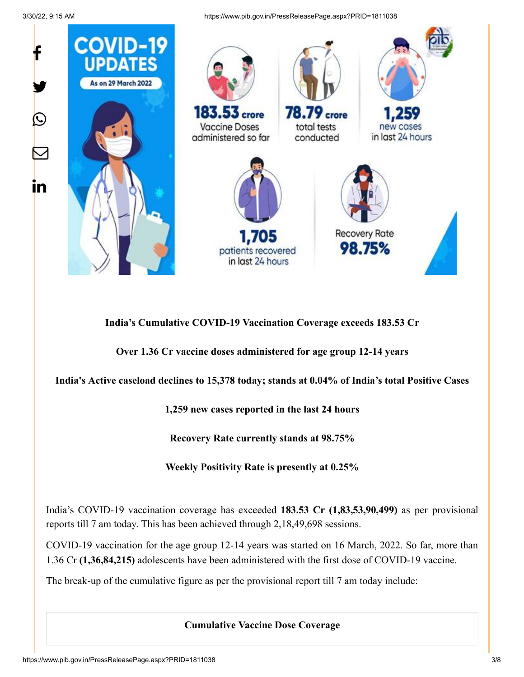3/30/22, 9:15 AM https://www.pib.gov.in/PressReleasePage.aspx?PRID=1811038



**India's Cumulative COVID-19 Vaccination Coverage exceeds 183.53 Cr**

**Over 1.36 Cr vaccine doses administered for age group 12-14 years**

**India's Active caseload declines to 15,378 today; stands at 0.04% of India's total Positive Cases**

**1,259 new cases reported in the last 24 hours**

**Recovery Rate currently stands at 98.75%**

**Weekly Positivity Rate is presently at 0.25%**

India's COVID-19 vaccination coverage has exceeded **183.53 Cr (1,83,53,90,499)** as per provisional reports till 7 am today. This has been achieved through 2,18,49,698 sessions.

COVID-19 vaccination for the age group 12-14 years was started on 16 March, 2022. So far, more than 1.36 Cr **(1,36,84,215)** adolescents have been administered with the first dose of COVID-19 vaccine.

The break-up of the cumulative figure as per the provisional report till 7 am today include:

**Cumulative Vaccine Dose Coverage**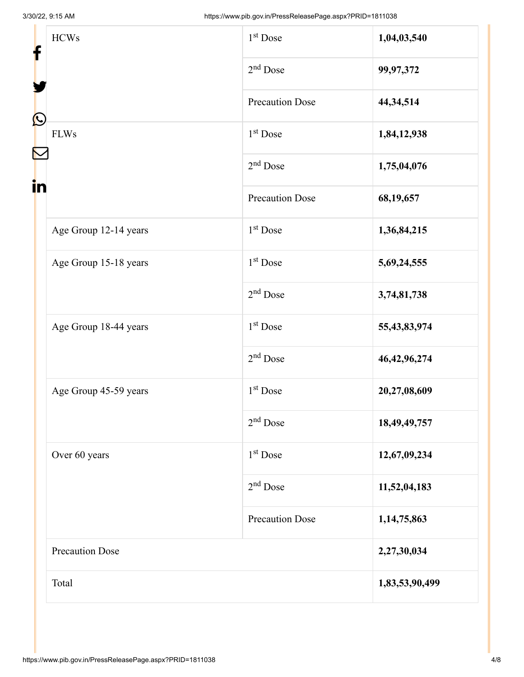| f                 | <b>HCWs</b>            | 1 <sup>st</sup> Dose   | 1,04,03,540     |
|-------------------|------------------------|------------------------|-----------------|
|                   |                        | $2nd$ Dose             | 99,97,372       |
| $\mathbf{\Omega}$ |                        | <b>Precaution Dose</b> | 44,34,514       |
|                   | <b>FLWs</b>            | 1 <sup>st</sup> Dose   | 1,84,12,938     |
|                   |                        | $2nd$ Dose             | 1,75,04,076     |
| in                |                        | <b>Precaution Dose</b> | 68,19,657       |
|                   | Age Group 12-14 years  | 1 <sup>st</sup> Dose   | 1,36,84,215     |
|                   | Age Group 15-18 years  | 1 <sup>st</sup> Dose   | 5,69,24,555     |
|                   |                        | $2nd$ Dose             | 3,74,81,738     |
|                   | Age Group 18-44 years  | 1 <sup>st</sup> Dose   | 55,43,83,974    |
|                   |                        | $2nd$ Dose             | 46, 42, 96, 274 |
|                   | Age Group 45-59 years  | $1st$ Dose             | 20,27,08,609    |
|                   |                        | $2nd$ Dose             | 18,49,49,757    |
|                   | Over 60 years          | $1st$ Dose             | 12,67,09,234    |
|                   |                        | $2nd$ Dose             | 11,52,04,183    |
|                   |                        | <b>Precaution Dose</b> | 1, 14, 75, 863  |
|                   | <b>Precaution Dose</b> | 2,27,30,034            |                 |
| Total             |                        | 1,83,53,90,499         |                 |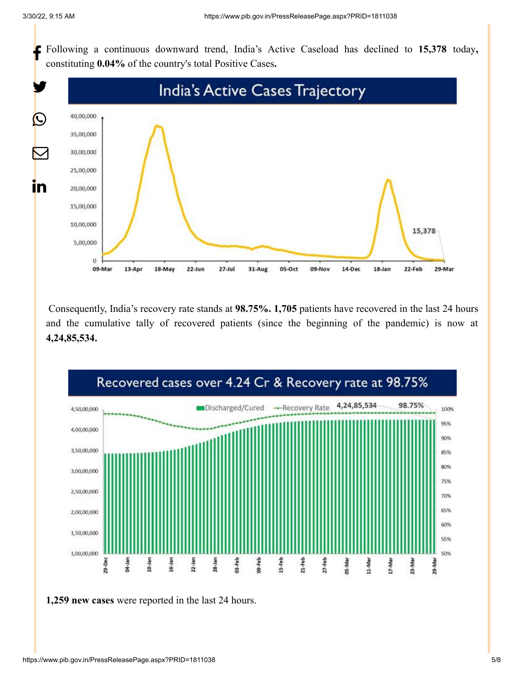Following a continuous downward trend, India's Active Caseload has declined to **15,378** today**,** constituting **0.04%** of the country's total Positive Cases**.**



Consequently, India's recovery rate stands at **98.75%. 1,705** patients have recovered in the last 24 hours and the cumulative tally of recovered patients (since the beginning of the pandemic) is now at **4,24,85,534.**



**1,259 new cases** were reported in the last 24 hours.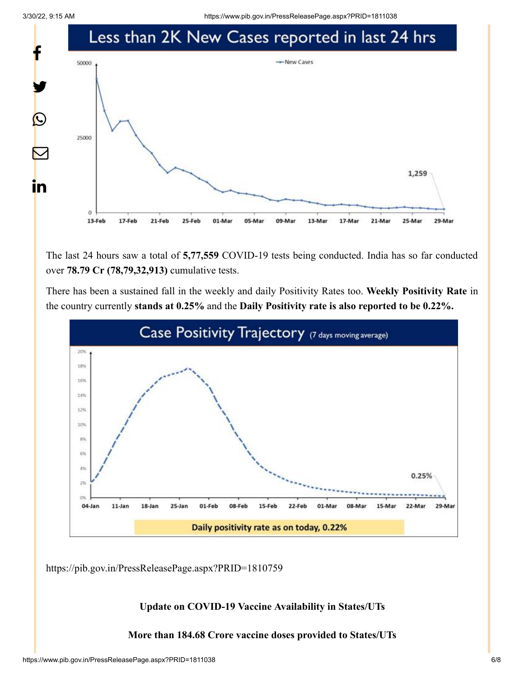3/30/22, 9:15 AM https://www.pib.gov.in/PressReleasePage.aspx?PRID=1811038



The last 24 hours saw a total of **5,77,559** COVID-19 tests being conducted. India has so far conducted over **78.79 Cr (78,79,32,913)** cumulative tests.

There has been a sustained fall in the weekly and daily Positivity Rates too. **Weekly Positivity Rate** in the country currently **stands at 0.25%** and the **Daily Positivity rate is also reported to be 0.22%.**



<https://pib.gov.in/PressReleasePage.aspx?PRID=1810759>

**Update on COVID-19 Vaccine Availability in States/UTs**

**More than 184.68 Crore vaccine doses provided to States/UTs**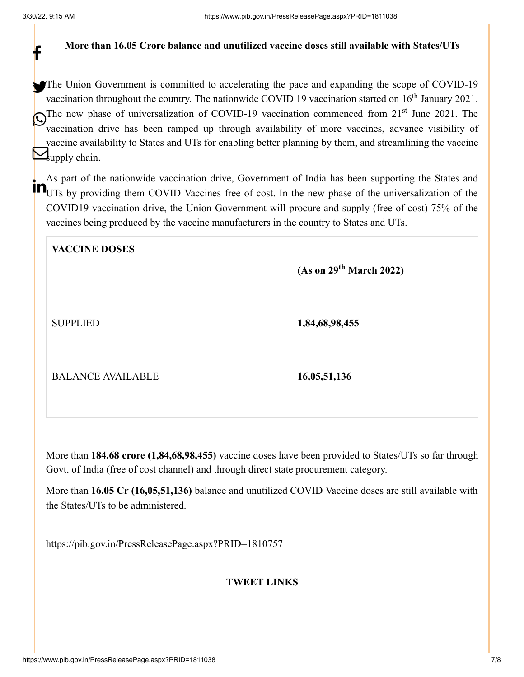f

#### **More than 16.05 Crore balance and unutilized vaccine doses still available with States/UTs**

The Union Government is committed to accelerating the pace and expanding the scope of COVID-19 vaccination throughout the country. The nationwide COVID 19 vaccination started on  $16<sup>th</sup>$  January 2021. The new phase of universalization of COVID-19 vaccination commenced from  $21<sup>st</sup>$  June 2021. The straighter direct the straighter of mean species a dynamic visibility of vaccination drive has been ramped up through availability of more vaccines, advance visibility of vaccine availability to States and UTs for enabling better planning by them, and streamlining the vaccine  $\sum_{\text{unphy chain.}}$ 

As part of the nationwide vaccination drive, Government of India has been supporting the States and **EXALCORED EXAMPLE INCORRELATE IS A COVERTMENT OF THE UP IN A SUBSET SUPPORTIFY**<br>**THE UTS** by providing them COVID Vaccines free of cost. In the new phase of the universalization of the COVID19 vaccination drive, the Union Government will procure and supply (free of cost) 75% of the vaccines being produced by the vaccine manufacturers in the country to States and UTs.

| <b>VACCINE DOSES</b>     | (As on 29 <sup>th</sup> March 2022) |
|--------------------------|-------------------------------------|
| <b>SUPPLIED</b>          | 1,84,68,98,455                      |
| <b>BALANCE AVAILABLE</b> | 16,05,51,136                        |

More than **184.68 crore (1,84,68,98,455)** vaccine doses have been provided to States/UTs so far through Govt. of India (free of cost channel) and through direct state procurement category.

More than **16.05 Cr (16,05,51,136)** balance and unutilized COVID Vaccine doses are still available with the States/UTs to be administered.

<https://pib.gov.in/PressReleasePage.aspx?PRID=1810757>

#### **TWEET LINKS**